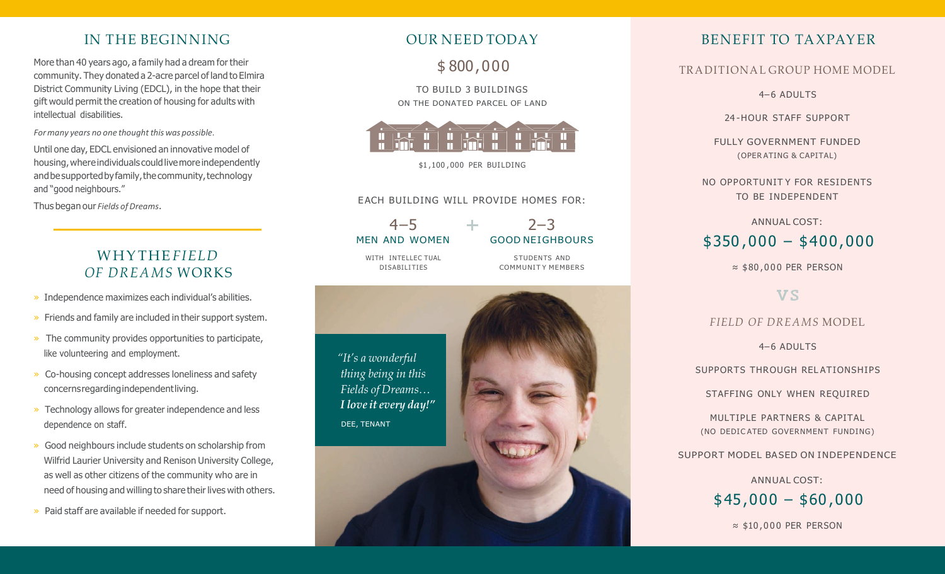#### IN THE BEGINNING

More than 40 years ago, a family had a dream for their community. They donated a 2-acre parcel ofland to Elmira District Community Living (EDCL), in the hope that their gift would permit the creation of housing for adults with intellectual disabilities.

*For many years no one thought this was possible.* 

Until one day, EDCL envisioned an innovative model of housing, where individuals could live more independently and be supported by family, the community, technology and "good neighbours."

Thus began our *Fields* of Dreams.

#### WHYTHE *FIELD OF DREAMS* WORKS

- » Independence maximizes each individual's abilities.
- » Friends and family are included in their support system.
- » The community provides opportunities to participate, like volunteering and employment.
- » Co-housing concept addresses loneliness and safety concernsregardingindependentliving.
- » Technology allows for greater independence and less dependence on staff.
- » Good neighbours include students on scholarship from Wilfrid Laurier University and Renison University College, as well as other citizens of the community who are in need of housing and willing to share their lives with others.
- » Paid staff are available if needed for support.

#### OUR NEED TODAY

\$ 800,000

TO BUILD 3 BUILDINGS ON THE DONATED PARCEL OF LAND



\$1 ,100 , 000 PER BUILDING

#### EACH BUILDING WILL PROVIDE HOMES FOR:

 $4 - 5$ MEN AND WOMEN

 $2 - 3$ GOOD NEIGHBOURS

S TUDENTS AND COMMUNIT Y MEMBERS

WITH INTELLEC TUAL DISABILITIES



#### BENEFIT TO TAXPAYER

#### TRADITIONAL GROUP HOME MODEL

4– 6 ADULTS

24 -HOUR STAFF SUPPORT

FULLY GOVERNMENT FUNDED (OPER ATING & CAPITAL)

NO OPPORTUNIT Y FOR RESIDENTS TO BE INDEPENDENT

ANNUAL COST:

# \$350 ,000 – \$400,000

≈ \$80 , 0 0 0 PER PERSON

#### **VS**

#### *FIELD OF DREAMS* MODEL

4– 6 ADULTS

SUPPORTS THROUGH REL ATIONSHIPS

STAFFING ONLY WHEN REQUIRED

MULTIPLE PARTNERS & CAPITAL (NO DEDIC ATED GOVERNMENT FUNDING)

SUPPORT MODEL BASED ON INDEPENDENCE

ANNUAL COST:  $$45,000 - $60,000$ 

≈ \$10 , 0 0 0 PER PERSON